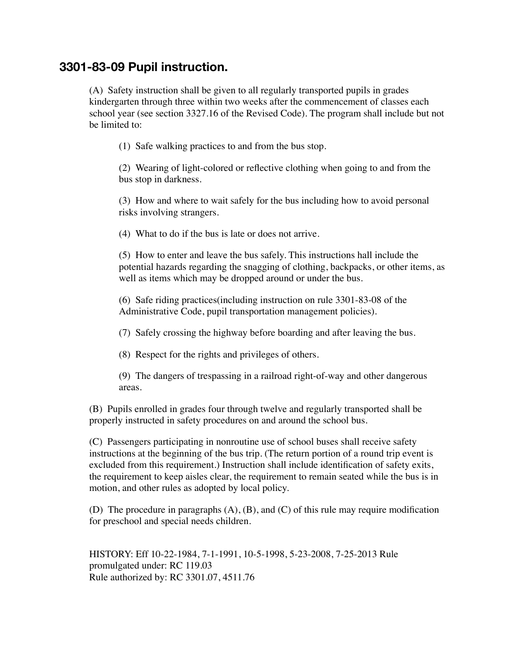## **3301-83-09 Pupil instruction.**

 (A) Safety instruction shall be given to all regularly transported pupils in grades kindergarten through three within two weeks after the commencement of classes each school year (see section 3327.16 of the Revised Code). The program shall include but not be limited to:

 (1) Safe walking practices to and from the bus stop.

 (2) Wearing of light-colored or reflective clothing when going to and from the bus stop in darkness.

 (3) How and where to wait safely for the bus including how to avoid personal risks involving strangers.

 (4) What to do if the bus is late or does not arrive.

 (5) How to enter and leave the bus safely. This instructions hall include the potential hazards regarding the snagging of clothing, backpacks, or other items, as well as items which may be dropped around or under the bus.

 (6) Safe riding practices(including instruction on rule 3301-83-08 of the Administrative Code, pupil transportation management policies).

 (7) Safely crossing the highway before boarding and after leaving the bus.

 (8) Respect for the rights and privileges of others.

 (9) The dangers of trespassing in a railroad right-of-way and other dangerous areas.

 (B) Pupils enrolled in grades four through twelve and regularly transported shall be properly instructed in safety procedures on and around the school bus.

 (C) Passengers participating in nonroutine use of school buses shall receive safety instructions at the beginning of the bus trip. (The return portion of a round trip event is excluded from this requirement.) Instruction shall include identification of safety exits, the requirement to keep aisles clear, the requirement to remain seated while the bus is in motion, and other rules as adopted by local policy.

 (D) The procedure in paragraphs (A), (B), and (C) of this rule may require modification for preschool and special needs children.

HISTORY: Eff 10-22-1984, 7-1-1991, 10-5-1998, 5-23-2008, 7-25-2013 Rule promulgated under: RC 119.03 Rule authorized by: RC 3301.07, 4511.76